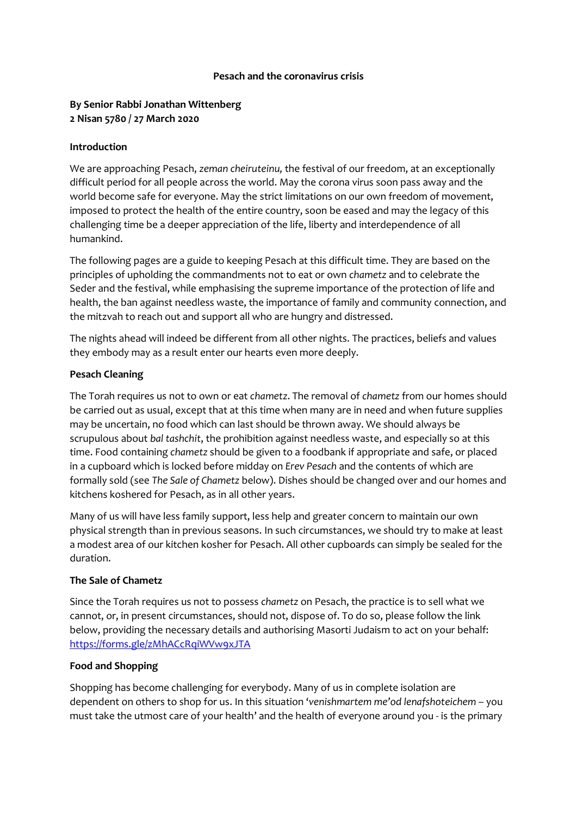#### **Pesach and the coronavirus crisis**

## **By Senior Rabbi Jonathan Wittenberg 2 Nisan 5780 / 27 March 2020**

#### **Introduction**

We are approaching Pesach, *zeman cheiruteinu,* the festival of our freedom, at an exceptionally difficult period for all people across the world. May the corona virus soon pass away and the world become safe for everyone. May the strict limitations on our own freedom of movement, imposed to protect the health of the entire country, soon be eased and may the legacy of this challenging time be a deeper appreciation of the life, liberty and interdependence of all humankind.

The following pages are a guide to keeping Pesach at this difficult time. They are based on the principles of upholding the commandments not to eat or own *chametz* and to celebrate the Seder and the festival, while emphasising the supreme importance of the protection of life and health, the ban against needless waste, the importance of family and community connection, and the mitzvah to reach out and support all who are hungry and distressed.

The nights ahead will indeed be different from all other nights. The practices, beliefs and values they embody may as a result enter our hearts even more deeply.

### **Pesach Cleaning**

The Torah requires us not to own or eat *chametz*. The removal of *chametz* from our homes should be carried out as usual, except that at this time when many are in need and when future supplies may be uncertain, no food which can last should be thrown away. We should always be scrupulous about *bal tashchit*, the prohibition against needless waste, and especially so at this time. Food containing *chametz* should be given to a foodbank if appropriate and safe, or placed in a cupboard which is locked before midday on *Erev Pesach* and the contents of which are formally sold (see *The Sale of Chametz* below). Dishes should be changed over and our homes and kitchens koshered for Pesach, as in all other years.

Many of us will have less family support, less help and greater concern to maintain our own physical strength than in previous seasons. In such circumstances, we should try to make at least a modest area of our kitchen kosher for Pesach. All other cupboards can simply be sealed for the duration.

### **The Sale of Chametz**

Since the Torah requires us not to possess *chametz* on Pesach, the practice is to sell what we cannot, or, in present circumstances, should not, dispose of. To do so, please follow the link below, providing the necessary details and authorising Masorti Judaism to act on your behalf: https://forms.gle/zMhACcRaiWVw9xJTA

### **Food and Shopping**

Shopping has become challenging for everybody. Many of us in complete isolation are dependent on others to shop for us. In this situation '*venishmartem me'od lenafshoteichem* – you must take the utmost care of your health' and the health of everyone around you - is the primary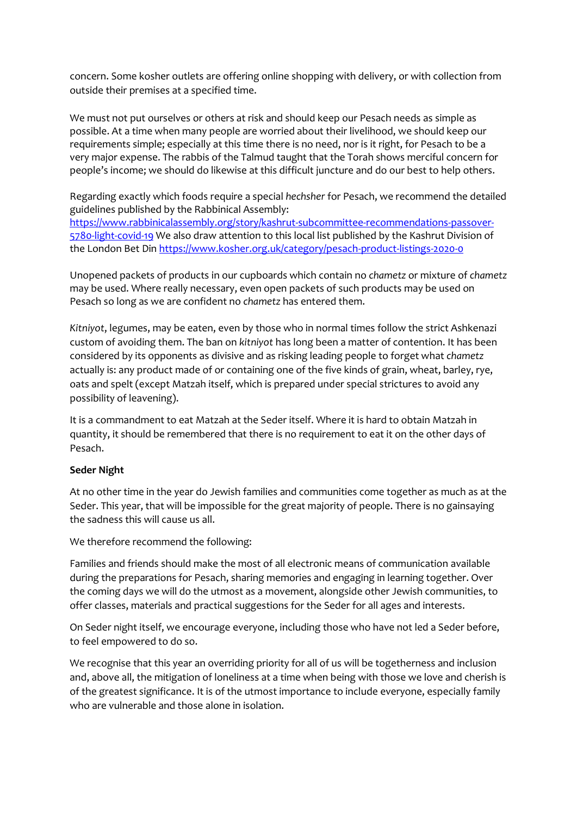concern. Some kosher outlets are offering online shopping with delivery, or with collection from outside their premises at a specified time.

We must not put ourselves or others at risk and should keep our Pesach needs as simple as possible. At a time when many people are worried about their livelihood, we should keep our requirements simple; especially at this time there is no need, nor is it right, for Pesach to be a very major expense. The rabbis of the Talmud taught that the Torah shows merciful concern for people's income; we should do likewise at this difficult juncture and do our best to help others.

Regarding exactly which foods require a special *hechsher* for Pesach, we recommend the detailed guidelines published by the Rabbinical Assembly: [https://www.rabbinicalassembly.org/story/kashrut-subcommittee-recommendations-passover-](https://www.rabbinicalassembly.org/story/kashrut-subcommittee-recommendations-passover-5780-light-covid-19)[5780-light-covid-19](https://www.rabbinicalassembly.org/story/kashrut-subcommittee-recommendations-passover-5780-light-covid-19) We also draw attention to this local list published by the Kashrut Division of the London Bet Din<https://www.kosher.org.uk/category/pesach-product-listings-2020-0>

Unopened packets of products in our cupboards which contain no *chametz* or mixture of *chametz* may be used. Where really necessary, even open packets of such products may be used on Pesach so long as we are confident no *chametz* has entered them.

*Kitniyot*, legumes, may be eaten, even by those who in normal times follow the strict Ashkenazi custom of avoiding them. The ban on *kitniyot* has long been a matter of contention. It has been considered by its opponents as divisive and as risking leading people to forget what *chametz* actually is: any product made of or containing one of the five kinds of grain, wheat, barley, rye, oats and spelt (except Matzah itself, which is prepared under special strictures to avoid any possibility of leavening).

It is a commandment to eat Matzah at the Seder itself. Where it is hard to obtain Matzah in quantity, it should be remembered that there is no requirement to eat it on the other days of Pesach.

### **Seder Night**

At no other time in the year do Jewish families and communities come together as much as at the Seder. This year, that will be impossible for the great majority of people. There is no gainsaying the sadness this will cause us all.

We therefore recommend the following:

Families and friends should make the most of all electronic means of communication available during the preparations for Pesach, sharing memories and engaging in learning together. Over the coming days we will do the utmost as a movement, alongside other Jewish communities, to offer classes, materials and practical suggestions for the Seder for all ages and interests.

On Seder night itself, we encourage everyone, including those who have not led a Seder before, to feel empowered to do so.

We recognise that this year an overriding priority for all of us will be togetherness and inclusion and, above all, the mitigation of loneliness at a time when being with those we love and cherish is of the greatest significance. It is of the utmost importance to include everyone, especially family who are vulnerable and those alone in isolation.